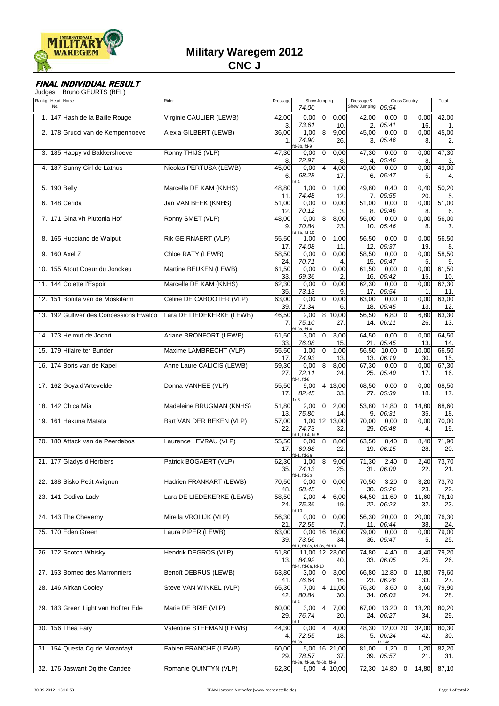

## **FINAL INDIVIDUAL RESULT**

Judges: Bruno GEURTS (BEL)

| Rankg Head Horse<br>No.                 | Rider                     | Dressage     | Show Jumping<br>74,00                                       | Dressage &<br>Show Jumping | Cross Country<br>05:54                           | Total        |
|-----------------------------------------|---------------------------|--------------|-------------------------------------------------------------|----------------------------|--------------------------------------------------|--------------|
| 1. 147 Hash de la Baille Rouge          | Virginie CAULIER (LEWB)   | 42,00<br>3.  | 0,00<br>$\mathbf 0$<br>0,00<br>73,61<br>10.                 | 42,00<br>2.                | 0,00<br>$\mathbf 0$<br>0,00<br>16.<br>05:41      | 42,00<br>1.  |
| 2. 178 Grucci van de Kempenhoeve        | Alexia GILBERT (LEWB)     | 36,00<br>1.  | 8<br>1,00<br>9,00<br>74,90<br>26.<br>fd-3b, fd-9            | 45,00<br>3.                | 0.00<br>$\mathbf 0$<br>0,00<br>05:46<br>8.       | 45,00<br>2.  |
| 3. 185 Happy vd Bakkershoeve            | Ronny THIJS (VLP)         | 47,30<br>8.  | $\mathbf 0$<br>0,00<br>0,00<br>72,97<br>8.                  | 47,30<br>4.                | 0.00<br>$\mathbf 0$<br>0,00<br>05:46<br>8.       | 47,30<br>3.  |
| 4. 187 Sunny Girl de Lathus             | Nicolas PERTUSA (LEWB)    | 45,00<br>6.  | 0,00<br>4,00<br>4<br>68,28<br>17.<br>$fd-4$                 | $\overline{49,00}$<br>6.   | 0.00<br>$\mathbf 0$<br>0,00<br>05:47<br>5.       | 49,00<br>4.  |
| 5. 190 Belly                            | Marcelle DE KAM (KNHS)    | 48,80<br>11. | 1,00<br>$\mathbf 0$<br>1,00<br>74,48<br>12                  | 49,80<br>7.                | 0,40<br>$\mathbf 0$<br>0,40<br>05:55<br>20       | 50,20<br>5.  |
| 6. 148 Cerida                           | Jan VAN BEEK (KNHS)       | 51,00<br>12. | 0,00<br>$\mathbf 0$<br>0,00<br>70,12<br>3.                  | 51,00<br>8.                | 0.00<br>$\overline{0}$<br>0,00<br>05:46<br>8.    | 51,00<br>6.  |
| 7. 171 Gina vh Plutonia Hof             | Ronny SMET (VLP)          | 48,00<br>9.  | 0,00<br>8<br>8,00<br>70,84<br>23.<br>fd-3b, fd-10           | $\overline{56,00}$<br>10.  | 0,00<br>$\overline{0}$<br>0,00<br>05:46<br>8.    | 56,00<br>7.  |
| 8. 165 Hucciano de Walput               | Rik GEIRNAERT (VLP)       | 55,50<br>17. | 1,00<br>$\mathbf 0$<br>1,00<br>74,08<br>11.                 | 56,50<br>12.               | 0,00<br>$\mathbf 0$<br>0,00<br>05:37<br>19.      | 56,50<br>8.  |
| 9. 160 Axel Z                           | Chloe RATY (LEWB)         | 58,50<br>24. | 0,00<br>$\mathbf 0$<br>0,00<br>70,71<br>4.                  | 58,50<br>15.               | 0,00<br>$\overline{0}$<br>0,00<br>05:47<br>5.    | 58,50<br>9.  |
| 10. 155 Atout Coeur du Jonckeu          | Martine BEUKEN (LEWB)     | 61,50<br>33. | 0,00<br>$\mathbf 0$<br>0,00<br>69,36<br>2                   | 61,50<br>16.               | 0,00<br>$\overline{0}$<br>0,00<br>05:42<br>15.   | 61,50<br>10. |
| 11. 144 Colette l'Espoir                | Marcelle DE KAM (KNHS)    | 62,30<br>35. | 0,00<br>$\mathbf 0$<br>0,00<br>73,13<br>9.                  | 62,30<br>17.               | 0,00<br>$\overline{0}$<br>0,00<br>05:54<br>1.    | 62,30<br>11. |
| 12. 151 Bonita van de Moskifarm         | Celine DE CABOOTER (VLP)  | 63,00<br>39. | 0,00<br>$\mathbf 0$<br>0,00<br>71,34<br>6.                  | 63,00<br>18.               | $\overline{0}$<br>0,00<br>0,00<br>05:45<br>13.   | 63,00<br>12. |
| 13. 192 Gulliver des Concessions Ewalco | Lara DE LIEDEKERKE (LEWB) | 46,50<br>7.  | 2,00<br>8 10,00<br>75,10<br>27.<br>-3a, fd-4                | 56,50<br>14.               | 6,80<br>$\overline{0}$<br>6,80<br>06:11<br>26.   | 63,30<br>13. |
| 14. 173 Helmut de Jochri                | Ariane BRONFORT (LEWB)    | 61,50<br>33. | 3,00<br>$\mathbf 0$<br>3,00<br>76,08<br>15.                 | 64,50<br>21.               | 0,00<br>$\mathbf 0$<br>0,00<br>05:45<br>13.      | 64,50<br>14. |
| 15. 179 Hilaire ter Bunder              | Maxime LAMBRECHT (VLP)    | 55,50<br>17. | 1,00<br>$\mathbf 0$<br>1,00<br>74,93<br>13.                 | 56,50<br>13.               | $\overline{0}$<br>10,00<br>10,00<br>06:19<br>30. | 66,50<br>15. |
| 16. 174 Boris van de Kapel              | Anne Laure CALICIS (LEWB) | 59,30<br>27. | 0,00<br>8<br>8,00<br>72,11<br>24.<br>$d-4$ , fd $-8$        | $\overline{67,30}$<br>25.  | 0,00<br>$\mathbf 0$<br>0,00<br>05:40<br>17.      | 67,30<br>16. |
| 17. 162 Goya d'Artevelde                | Donna VANHEE (VLP)        | 55,50<br>17. | 4 13,00<br>9,00<br>82,45<br>33.<br>$1r-8$                   | 68,50<br>27.               | 0,00<br>$\mathbf 0$<br>0,00<br>05:39<br>18.      | 68,50<br>17. |
| 18. 142 Chica Mia                       | Madeleine BRUGMAN (KNHS)  | 51,80<br>13. | 2,00<br>2,00<br>$\mathbf 0$<br>75,80<br>14.                 | 53,80<br>9.                | 14,80<br>$\mathbf 0$<br>14,80<br>06:31<br>35.    | 68,60<br>18. |
| 19. 161 Hakuna Matata                   | Bart VAN DER BEKEN (VLP)  | 57,00<br>22. | 1,00 12 13,00<br>74,73<br>32.<br>d-1, fd-4, fd-5            | 70,00<br>29.               | $\mathbf 0$<br>0,00<br>0,00<br>05:48<br>4.       | 70,00<br>19. |
| 20. 180 Attack van de Peerdebos         | Laurence LEVRAU (VLP)     | 55,50<br>17. | 8<br>8,00<br>0,00<br>69,88<br>22.<br>d-1, fd-3a             | 63,50<br>19.               | 8,40<br>8,40<br>0<br>06:15<br>28.                | 71,90<br>20. |
| 21. 177 Gladys d'Herbiers               | Patrick BOGAERT (VLP)     | 62,30<br>35. | 9,00<br>8<br>1,00<br>74,13<br>25.                           | 71,30<br>31.               | 2,40<br>2,40<br>0<br>06:00<br>22.                | 73,70<br>21. |
| 22. 188 Sisko Petit Avignon             | Hadrien FRANKART (LEWB)   | 70,50<br>48. | 0<br>0,00<br>0,00<br>68,45<br>1.                            | 70,50<br>30.               | 3,20<br>0<br>3,20<br>05:26<br>23.                | 73,70<br>22. |
| 23. 141 Godiva Lady                     | Lara DE LIEDEKERKE (LEWB) | 58,50<br>24. | 4<br>6,00<br>2,00<br>75,36<br>19.<br>$1 - 10$               | 64,50<br>22.               | $\overline{0}$<br>11,60<br>11,60<br>06:23<br>32. | 76,10<br>23. |
| 24. 143 The Cheverny                    | Mirella VROLIJK (VLP)     | 56,30<br>21. | 0,00<br>$\pmb{0}$<br>0,00<br>72,55<br>7.                    | 56,30<br>11.               | 20,00<br>$\mathbf 0$<br>20,00<br>06:44<br>38.    | 76,30<br>24. |
| 25. 170 Eden Green                      | Laura PIPER (LEWB)        | 63,00<br>39. | $0,00$ 16 16,00<br>73,66<br>34.<br>1-1, fd-3a, fd-3b, fd-10 | 79,00<br>36.               | $\overline{0}$<br>0,00<br>0,00<br>05:47<br>5.    | 79,00<br>25. |
| 26. 172 Scotch Whisky                   | Hendrik DEGROS (VLP)      | 51,80<br>13. | 11,00 12 23,00<br>84,92<br>40.<br>d-4, fd-6a, fd-10         | 74,80<br>33.               | 4,40<br>$\overline{0}$<br>4,40<br>06:05<br>25.   | 79,20<br>26. |
| 27. 153 Borneo des Marronniers          | Benoît DEBRUS (LEWB)      | 63,80<br>41. | 3,00<br>3,00<br>0<br>76,64<br>16.                           | 66,80<br>23.               | 12,80<br>12,80<br>0<br>06:26<br>33.              | 79,60<br>27. |
| 28. 146 Airkan Cooley                   | Steve VAN WINKEL (VLP)    | 65,30<br>42. | $4\overline{11,00}$<br>7,00<br>80,84<br>30.                 | 76,30<br>34.               | $\overline{0}$<br>3,60<br>3,60<br>06:03<br>24.   | 79,90<br>28. |
| 29. 183 Green Light van Hof ter Ede     | Marie DE BRIE (VLP)       | 60,00<br>29. | 3,00<br>4<br>7,00<br>76,74<br>20.                           | 67,00<br>24.               | 13,20<br>$\mathbf 0$<br>13,20<br>06:27<br>34.    | 80,20<br>29. |
| 30. 156 Théa Fary                       | Valentine STEEMAN (LEWB)  | 44,30<br>4.  | 4,00<br>0,00<br>4<br>72,55<br>18.<br>fd-3a                  | 48,30<br>5.                | 12,00 20<br>32,00<br>06:24<br>42.<br>r-14c       | 80,30<br>30. |
| 31. 154 Questa Cg de Moranfayt          | Fabien FRANCHE (LEWB)     | 60,00<br>29. | 5,00 16 21,00<br>78,57<br>37.<br>fd-3a, fd-6a, fd-6b, fd-9  | 81,00<br>39.               | $1,20$ 0<br>1,20<br>05:57<br>21.                 | 82,20<br>31. |
| 32. 176 Jaswant Dq the Candee           | Romanie QUINTYN (VLP)     | 62,30        | 6,00 4 10,00                                                |                            | 72,30 14,80 0                                    | 14,80 87,10  |